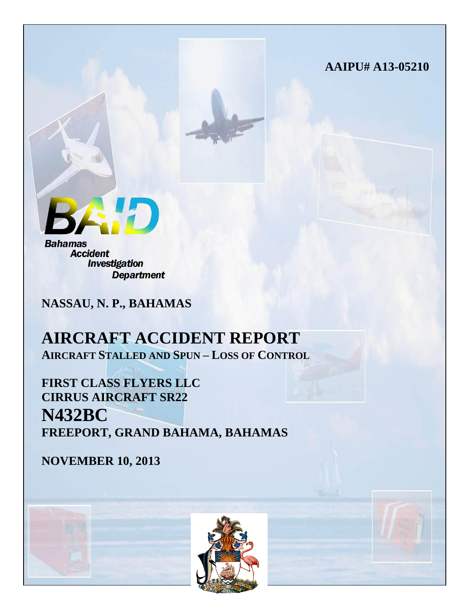**AAIPU# A13-05210**

**Bahamas** 

**Accident** Investigation **Department** 

# **NASSAU, N. P., BAHAMAS**

# **AIRCRAFT ACCIDENT REPORT AIRCRAFT STALLED AND SPUN – LOSS OF CONTROL**

# **FIRST CLASS FLYERS LLC CIRRUS AIRCRAFT SR22 N432BC FREEPORT, GRAND BAHAMA, BAHAMAS**

**NOVEMBER 10, 2013**

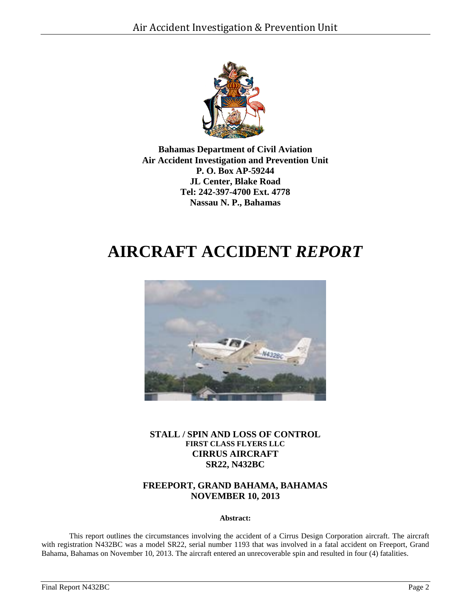

**Bahamas Department of Civil Aviation Air Accident Investigation and Prevention Unit P. O. Box AP-59244 JL Center, Blake Road Tel: 242-397-4700 Ext. 4778 Nassau N. P., Bahamas**

# **AIRCRAFT ACCIDENT** *REPORT*



**STALL / SPIN AND LOSS OF CONTROL FIRST CLASS FLYERS LLC CIRRUS AIRCRAFT SR22, N432BC**

#### **FREEPORT, GRAND BAHAMA, BAHAMAS NOVEMBER 10, 2013**

**Abstract:**

This report outlines the circumstances involving the accident of a Cirrus Design Corporation aircraft. The aircraft with registration N432BC was a model SR22, serial number 1193 that was involved in a fatal accident on Freeport, Grand Bahama, Bahamas on November 10, 2013. The aircraft entered an unrecoverable spin and resulted in four (4) fatalities.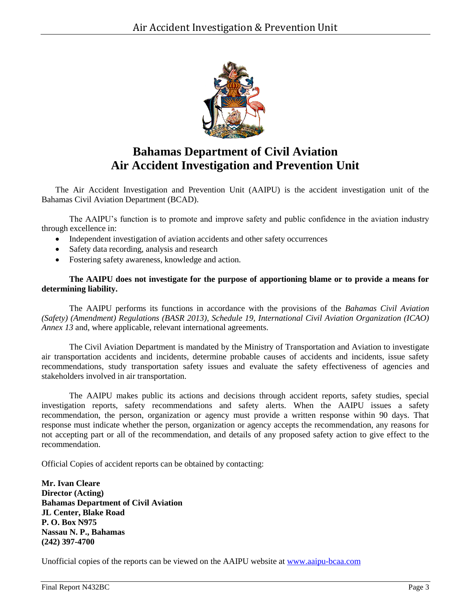

# **Bahamas Department of Civil Aviation Air Accident Investigation and Prevention Unit**

The Air Accident Investigation and Prevention Unit (AAIPU) is the accident investigation unit of the Bahamas Civil Aviation Department (BCAD).

The AAIPU's function is to promote and improve safety and public confidence in the aviation industry through excellence in:

- Independent investigation of aviation accidents and other safety occurrences
- Safety data recording, analysis and research
- Fostering safety awareness, knowledge and action.

#### **The AAIPU does not investigate for the purpose of apportioning blame or to provide a means for determining liability.**

The AAIPU performs its functions in accordance with the provisions of the *Bahamas Civil Aviation (Safety) (Amendment) Regulations (BASR 2013), Schedule 19, International Civil Aviation Organization (ICAO) Annex 13* and, where applicable, relevant international agreements.

The Civil Aviation Department is mandated by the Ministry of Transportation and Aviation to investigate air transportation accidents and incidents, determine probable causes of accidents and incidents, issue safety recommendations, study transportation safety issues and evaluate the safety effectiveness of agencies and stakeholders involved in air transportation.

The AAIPU makes public its actions and decisions through accident reports, safety studies, special investigation reports, safety recommendations and safety alerts. When the AAIPU issues a safety recommendation, the person, organization or agency must provide a written response within 90 days. That response must indicate whether the person, organization or agency accepts the recommendation, any reasons for not accepting part or all of the recommendation, and details of any proposed safety action to give effect to the recommendation.

Official Copies of accident reports can be obtained by contacting:

**Mr. Ivan Cleare Director (Acting) Bahamas Department of Civil Aviation JL Center, Blake Road P. O. Box N975 Nassau N. P., Bahamas (242) 397-4700**

Unofficial copies of the reports can be viewed on the AAIPU website at [www.aaipu-bcaa.com](http://www.aaipu-bcaa.com/)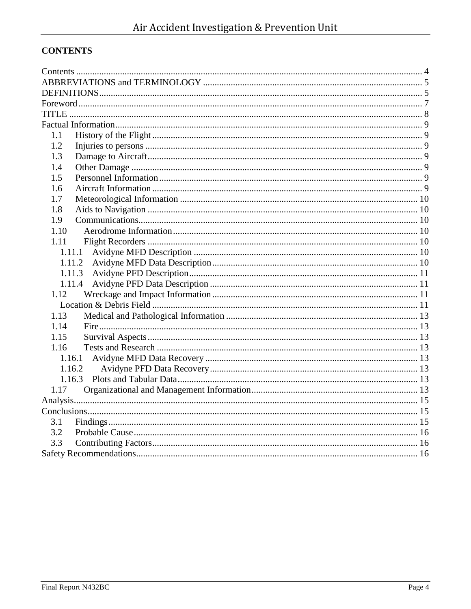# <span id="page-3-0"></span>**CONTENTS**

| 1.1    |  |  |  |
|--------|--|--|--|
| 1.2    |  |  |  |
| 1.3    |  |  |  |
| 1.4    |  |  |  |
| 1.5    |  |  |  |
| 1.6    |  |  |  |
| 1.7    |  |  |  |
| 1.8    |  |  |  |
| 1.9    |  |  |  |
| 1.10   |  |  |  |
| 1.11   |  |  |  |
| 1.11.1 |  |  |  |
| 1.11.2 |  |  |  |
| 1.11.3 |  |  |  |
| 1.11.4 |  |  |  |
| 1.12   |  |  |  |
|        |  |  |  |
| 1.13   |  |  |  |
| 1.14   |  |  |  |
| 1.15   |  |  |  |
| 1.16   |  |  |  |
| 1.16.1 |  |  |  |
| 1.16.2 |  |  |  |
| 1.16.3 |  |  |  |
| 1.17   |  |  |  |
|        |  |  |  |
|        |  |  |  |
| 3.1    |  |  |  |
| 3.2    |  |  |  |
| 3.3    |  |  |  |
|        |  |  |  |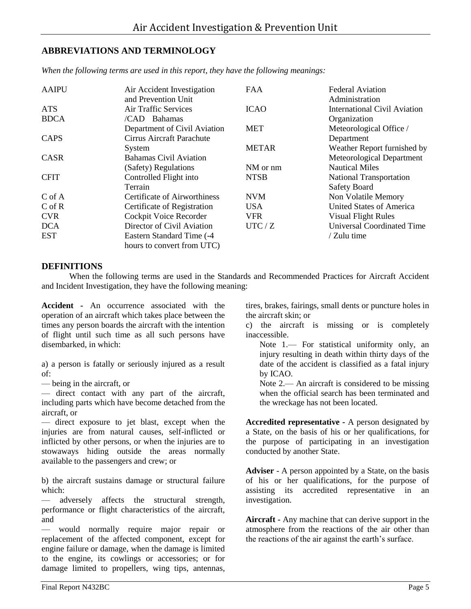# <span id="page-4-0"></span>**ABBREVIATIONS AND TERMINOLOGY**

*When the following terms are used in this report, they have the following meanings:*

| <b>AAIPU</b> | Air Accident Investigation    | <b>FAA</b>   | <b>Federal Aviation</b>             |
|--------------|-------------------------------|--------------|-------------------------------------|
|              | and Prevention Unit           |              | Administration                      |
| <b>ATS</b>   | Air Traffic Services          | <b>ICAO</b>  | <b>International Civil Aviation</b> |
| <b>BDCA</b>  | /CAD Bahamas                  |              | Organization                        |
|              | Department of Civil Aviation  | <b>MET</b>   | Meteorological Office /             |
| <b>CAPS</b>  | Cirrus Aircraft Parachute     |              | Department                          |
|              | System                        | <b>METAR</b> | Weather Report furnished by         |
| <b>CASR</b>  | <b>Bahamas Civil Aviation</b> |              | Meteorological Department           |
|              | (Safety) Regulations          | NM or nm     | <b>Nautical Miles</b>               |
| <b>CFIT</b>  | Controlled Flight into        | <b>NTSB</b>  | <b>National Transportation</b>      |
|              | Terrain                       |              | <b>Safety Board</b>                 |
| $C$ of A     | Certificate of Airworthiness  | <b>NVM</b>   | Non Volatile Memory                 |
| $C$ of $R$   | Certificate of Registration   | <b>USA</b>   | <b>United States of America</b>     |
| <b>CVR</b>   | Cockpit Voice Recorder        | <b>VFR</b>   | <b>Visual Flight Rules</b>          |
| <b>DCA</b>   | Director of Civil Aviation    | UTC/Z        | <b>Universal Coordinated Time</b>   |
| <b>EST</b>   | Eastern Standard Time (-4)    |              | / Zulu time                         |
|              | hours to convert from UTC)    |              |                                     |

#### <span id="page-4-1"></span>**DEFINITIONS**

When the following terms are used in the Standards and Recommended Practices for Aircraft Accident and Incident Investigation, they have the following meaning:

**Accident -** An occurrence associated with the operation of an aircraft which takes place between the times any person boards the aircraft with the intention of flight until such time as all such persons have disembarked, in which:

a) a person is fatally or seriously injured as a result of:

— being in the aircraft, or

— direct contact with any part of the aircraft, including parts which have become detached from the aircraft, or

— direct exposure to jet blast, except when the injuries are from natural causes, self-inflicted or inflicted by other persons, or when the injuries are to stowaways hiding outside the areas normally available to the passengers and crew; or

b) the aircraft sustains damage or structural failure which:

— adversely affects the structural strength, performance or flight characteristics of the aircraft, and

— would normally require major repair or replacement of the affected component, except for engine failure or damage, when the damage is limited to the engine, its cowlings or accessories; or for damage limited to propellers, wing tips, antennas, tires, brakes, fairings, small dents or puncture holes in the aircraft skin; or

c) the aircraft is missing or is completely inaccessible.

Note 1.— For statistical uniformity only, an injury resulting in death within thirty days of the date of the accident is classified as a fatal injury by ICAO.

Note 2.— An aircraft is considered to be missing when the official search has been terminated and the wreckage has not been located.

**Accredited representative -** A person designated by a State, on the basis of his or her qualifications, for the purpose of participating in an investigation conducted by another State.

**Adviser** - A person appointed by a State, on the basis of his or her qualifications, for the purpose of assisting its accredited representative in an investigation.

**Aircraft -** Any machine that can derive support in the atmosphere from the reactions of the air other than the reactions of the air against the earth's surface.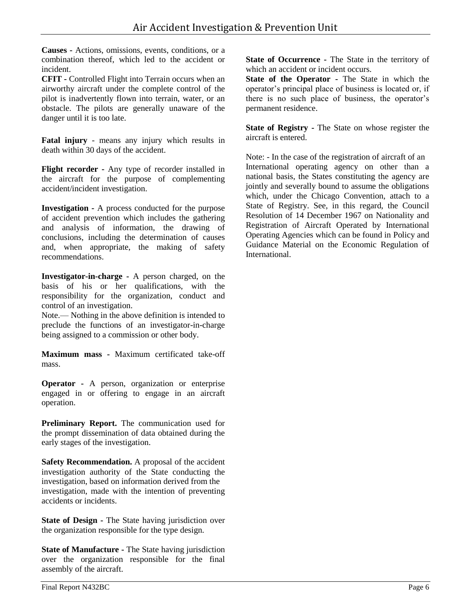**Causes -** Actions, omissions, events, conditions, or a combination thereof, which led to the accident or incident.

**CFIT -** Controlled Flight into Terrain occurs when an airworthy aircraft under the complete control of the pilot is inadvertently flown into terrain, water, or an obstacle. The pilots are generally unaware of the danger until it is too late.

**Fatal injury** - means any injury which results in death within 30 days of the accident.

**Flight recorder -** Any type of recorder installed in the aircraft for the purpose of complementing accident/incident investigation.

**Investigation -** A process conducted for the purpose of accident prevention which includes the gathering and analysis of information, the drawing of conclusions, including the determination of causes and, when appropriate, the making of safety recommendations.

**Investigator-in-charge -** A person charged, on the basis of his or her qualifications, with the responsibility for the organization, conduct and control of an investigation.

Note.— Nothing in the above definition is intended to preclude the functions of an investigator-in-charge being assigned to a commission or other body.

**Maximum mass -** Maximum certificated take-off mass.

**Operator -** A person, organization or enterprise engaged in or offering to engage in an aircraft operation.

**Preliminary Report.** The communication used for the prompt dissemination of data obtained during the early stages of the investigation.

**Safety Recommendation.** A proposal of the accident investigation authority of the State conducting the investigation, based on information derived from the investigation, made with the intention of preventing accidents or incidents.

**State of Design -** The State having jurisdiction over the organization responsible for the type design.

**State of Manufacture -** The State having jurisdiction over the organization responsible for the final assembly of the aircraft.

**State of Occurrence -** The State in the territory of which an accident or incident occurs.

**State of the Operator -** The State in which the operator's principal place of business is located or, if there is no such place of business, the operator's permanent residence.

**State of Registry -** The State on whose register the aircraft is entered.

Note: - In the case of the registration of aircraft of an International operating agency on other than a national basis, the States constituting the agency are jointly and severally bound to assume the obligations which, under the Chicago Convention, attach to a State of Registry. See, in this regard, the Council Resolution of 14 December 1967 on Nationality and Registration of Aircraft Operated by International Operating Agencies which can be found in Policy and Guidance Material on the Economic Regulation of International.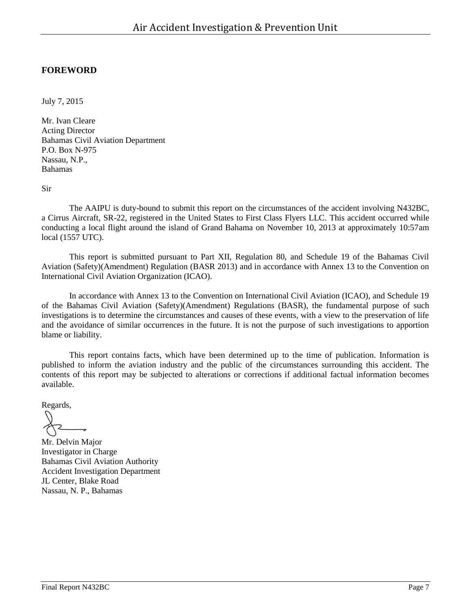## <span id="page-6-0"></span>**FOREWORD**

July 7, 2015

Mr. Ivan Cleare Acting Director Bahamas Civil Aviation Department P.O. Box N-975 Nassau, N.P., Bahamas

Sir

The AAIPU is duty-bound to submit this report on the circumstances of the accident involving N432BC, a Cirrus Aircraft, SR-22, registered in the United States to First Class Flyers LLC. This accident occurred while conducting a local flight around the island of Grand Bahama on November 10, 2013 at approximately 10:57am local (1557 UTC).

This report is submitted pursuant to Part XII, Regulation 80, and Schedule 19 of the Bahamas Civil Aviation (Safety)(Amendment) Regulation (BASR 2013) and in accordance with Annex 13 to the Convention on International Civil Aviation Organization (ICAO).

In accordance with Annex 13 to the Convention on International Civil Aviation (ICAO), and Schedule 19 of the Bahamas Civil Aviation (Safety)(Amendment) Regulations (BASR), the fundamental purpose of such investigations is to determine the circumstances and causes of these events, with a view to the preservation of life and the avoidance of similar occurrences in the future. It is not the purpose of such investigations to apportion blame or liability.

This report contains facts, which have been determined up to the time of publication. Information is published to inform the aviation industry and the public of the circumstances surrounding this accident. The contents of this report may be subjected to alterations or corrections if additional factual information becomes available.

Regards,

Mr. Delvin Major Investigator in Charge Bahamas Civil Aviation Authority Accident Investigation Department JL Center, Blake Road Nassau, N. P., Bahamas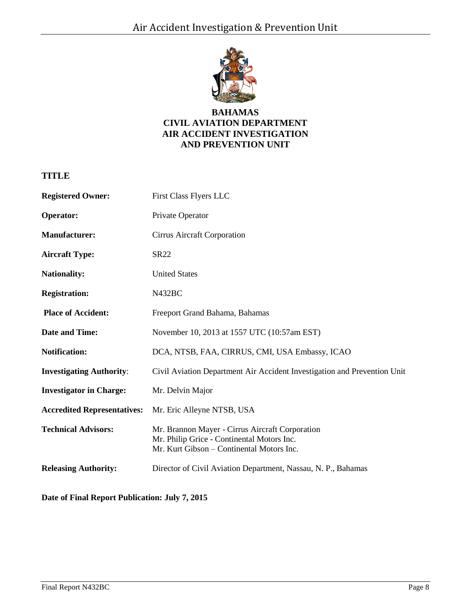

#### **BAHAMAS CIVIL AVIATION DEPARTMENT AIR ACCIDENT INVESTIGATION AND PREVENTION UNIT**

<span id="page-7-0"></span>**TITLE** 

| <b>Registered Owner:</b>           | First Class Flyers LLC                                                                                                                     |
|------------------------------------|--------------------------------------------------------------------------------------------------------------------------------------------|
| <b>Operator:</b>                   | Private Operator                                                                                                                           |
| <b>Manufacturer:</b>               | <b>Cirrus Aircraft Corporation</b>                                                                                                         |
| <b>Aircraft Type:</b>              | <b>SR22</b>                                                                                                                                |
| <b>Nationality:</b>                | <b>United States</b>                                                                                                                       |
| <b>Registration:</b>               | N432BC                                                                                                                                     |
| <b>Place of Accident:</b>          | Freeport Grand Bahama, Bahamas                                                                                                             |
| <b>Date and Time:</b>              | November 10, 2013 at 1557 UTC (10:57am EST)                                                                                                |
| <b>Notification:</b>               | DCA, NTSB, FAA, CIRRUS, CMI, USA Embassy, ICAO                                                                                             |
| <b>Investigating Authority:</b>    | Civil Aviation Department Air Accident Investigation and Prevention Unit                                                                   |
| <b>Investigator in Charge:</b>     | Mr. Delvin Major                                                                                                                           |
| <b>Accredited Representatives:</b> | Mr. Eric Alleyne NTSB, USA                                                                                                                 |
| <b>Technical Advisors:</b>         | Mr. Brannon Mayer - Cirrus Aircraft Corporation<br>Mr. Philip Grice - Continental Motors Inc.<br>Mr. Kurt Gibson – Continental Motors Inc. |
| <b>Releasing Authority:</b>        | Director of Civil Aviation Department, Nassau, N. P., Bahamas                                                                              |

**Date of Final Report Publication: July 7, 2015**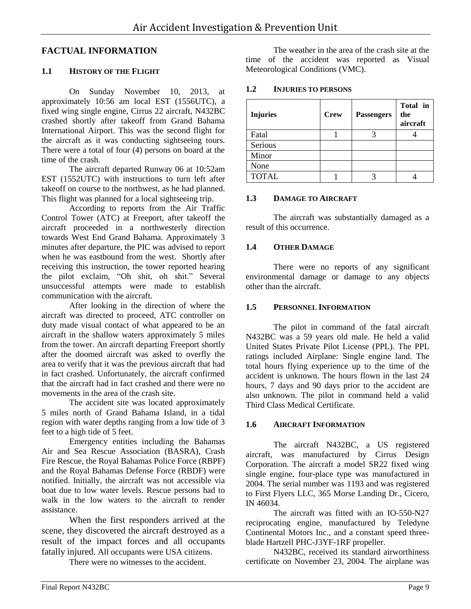#### <span id="page-8-0"></span>**FACTUAL INFORMATION**

#### <span id="page-8-1"></span>**1.1 HISTORY OF THE FLIGHT**

On Sunday November 10, 2013, at approximately 10:56 am local EST (1556UTC), a fixed wing single engine, Cirrus 22 aircraft, N432BC crashed shortly after takeoff from Grand Bahama International Airport. This was the second flight for the aircraft as it was conducting sightseeing tours. There were a total of four (4) persons on board at the time of the crash.

The aircraft departed Runway 06 at 10:52am EST (1552UTC) with instructions to turn left after takeoff on course to the northwest, as he had planned. This flight was planned for a local sightseeing trip.

According to reports from the Air Traffic Control Tower (ATC) at Freeport, after takeoff the aircraft proceeded in a northwesterly direction towards West End Grand Bahama. Approximately 3 minutes after departure, the PIC was advised to report when he was eastbound from the west. Shortly after receiving this instruction, the tower reported hearing the pilot exclaim, "Oh shit, oh shit." Several unsuccessful attempts were made to establish communication with the aircraft.

After looking in the direction of where the aircraft was directed to proceed, ATC controller on duty made visual contact of what appeared to be an aircraft in the shallow waters approximately 5 miles from the tower. An aircraft departing Freeport shortly after the doomed aircraft was asked to overfly the area to verify that it was the previous aircraft that had in fact crashed. Unfortunately, the aircraft confirmed that the aircraft had in fact crashed and there were no movements in the area of the crash site.

The accident site was located approximately 5 miles north of Grand Bahama Island, in a tidal region with water depths ranging from a low tide of 3 feet to a high tide of 5 feet.

Emergency entities including the Bahamas Air and Sea Rescue Association (BASRA), Crash Fire Rescue, the Royal Bahamas Police Force (RBPF) and the Royal Bahamas Defense Force (RBDF) were notified. Initially, the aircraft was not accessible via boat due to low water levels. Rescue persons had to walk in the low waters to the aircraft to render assistance.

When the first responders arrived at the scene, they discovered the aircraft destroyed as a result of the impact forces and all occupants fatally injured. All occupants were USA citizens.

There were no witnesses to the accident.

The weather in the area of the crash site at the time of the accident was reported as Visual Meteorological Conditions (VMC).

#### <span id="page-8-2"></span>**1.2 INJURIES TO PERSONS**

| <b>Injuries</b> | <b>Crew</b> | <b>Passengers</b> | Total in<br>the<br>aircraft |
|-----------------|-------------|-------------------|-----------------------------|
| Fatal           |             |                   |                             |
| Serious         |             |                   |                             |
| Minor           |             |                   |                             |
| None            |             |                   |                             |
| <b>TOTAL</b>    |             |                   |                             |

#### <span id="page-8-3"></span>**1.3 DAMAGE TO AIRCRAFT**

The aircraft was substantially damaged as a result of this occurrence.

#### <span id="page-8-4"></span>**1.4 OTHER DAMAGE**

There were no reports of any significant environmental damage or damage to any objects other than the aircraft.

#### <span id="page-8-5"></span>**1.5 PERSONNEL INFORMATION**

The pilot in command of the fatal aircraft N432BC was a 59 years old male. He held a valid United States Private Pilot License (PPL). The PPL ratings included Airplane: Single engine land. The total hours flying experience up to the time of the accident is unknown. The hours flown in the last 24 hours, 7 days and 90 days prior to the accident are also unknown. The pilot in command held a valid Third Class Medical Certificate.

#### <span id="page-8-6"></span>**1.6 AIRCRAFT INFORMATION**

The aircraft N432BC, a US registered aircraft, was manufactured by Cirrus Design Corporation. The aircraft a model SR22 fixed wing single engine, four-place type was manufactured in 2004. The serial number was 1193 and was registered to First Flyers LLC, 365 Morse Landing Dr., Cicero, IN 46034.

The aircraft was fitted with an IO-550-N27 reciprocating engine, manufactured by Teledyne Continental Motors Inc., and a constant speed threeblade Hartzell PHC-J3YF-1RF propeller.

N432BC, received its standard airworthiness certificate on November 23, 2004. The airplane was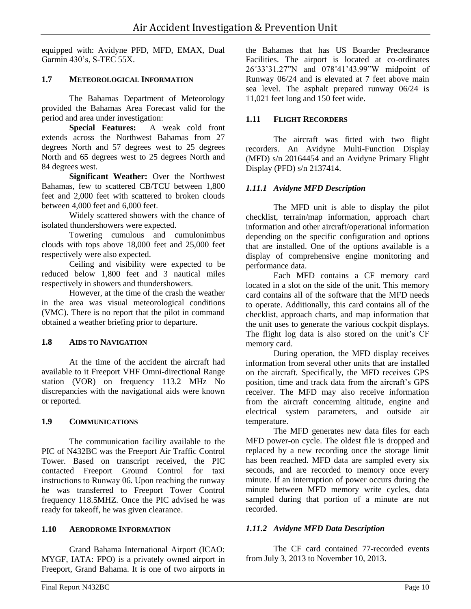equipped with: Avidyne PFD, MFD, EMAX, Dual Garmin 430's, S-TEC 55X.

#### <span id="page-9-0"></span>**1.7 METEOROLOGICAL INFORMATION**

The Bahamas Department of Meteorology provided the Bahamas Area Forecast valid for the period and area under investigation:<br> **Special Features:** A

**Special Features:** A weak cold front extends across the Northwest Bahamas from 27 degrees North and 57 degrees west to 25 degrees North and 65 degrees west to 25 degrees North and 84 degrees west.

**Significant Weather:** Over the Northwest Bahamas, few to scattered CB/TCU between 1,800 feet and 2,000 feet with scattered to broken clouds between 4,000 feet and 6,000 feet.

Widely scattered showers with the chance of isolated thundershowers were expected.

Towering cumulous and cumulonimbus clouds with tops above 18,000 feet and 25,000 feet respectively were also expected.

Ceiling and visibility were expected to be reduced below 1,800 feet and 3 nautical miles respectively in showers and thundershowers.

However, at the time of the crash the weather in the area was visual meteorological conditions (VMC). There is no report that the pilot in command obtained a weather briefing prior to departure.

#### <span id="page-9-1"></span>**1.8 AIDS TO NAVIGATION**

At the time of the accident the aircraft had available to it Freeport VHF Omni-directional Range station (VOR) on frequency 113.2 MHz No discrepancies with the navigational aids were known or reported.

# <span id="page-9-2"></span>**1.9 COMMUNICATIONS**

The communication facility available to the PIC of N432BC was the Freeport Air Traffic Control Tower. Based on transcript received, the PIC contacted Freeport Ground Control for taxi instructions to Runway 06. Upon reaching the runway he was transferred to Freeport Tower Control frequency 118.5MHZ. Once the PIC advised he was ready for takeoff, he was given clearance.

#### <span id="page-9-3"></span>**1.10 AERODROME INFORMATION**

Grand Bahama International Airport (ICAO: MYGF, IATA: FPO) is a privately owned airport in Freeport, Grand Bahama. It is one of two airports in the Bahamas that has US Boarder Preclearance Facilities. The airport is located at co-ordinates 26˚33'31.27"N and 078˚41'43.99"W midpoint of Runway 06/24 and is elevated at 7 feet above main sea level. The asphalt prepared runway 06/24 is 11,021 feet long and 150 feet wide.

## <span id="page-9-4"></span>**1.11 FLIGHT RECORDERS**

The aircraft was fitted with two flight recorders. An Avidyne Multi-Function Display (MFD) s/n 20164454 and an Avidyne Primary Flight Display (PFD) s/n 2137414.

## <span id="page-9-5"></span>*1.11.1 Avidyne MFD Description*

The MFD unit is able to display the pilot checklist, terrain/map information, approach chart information and other aircraft/operational information depending on the specific configuration and options that are installed. One of the options available is a display of comprehensive engine monitoring and performance data.

Each MFD contains a CF memory card located in a slot on the side of the unit. This memory card contains all of the software that the MFD needs to operate. Additionally, this card contains all of the checklist, approach charts, and map information that the unit uses to generate the various cockpit displays. The flight log data is also stored on the unit's CF memory card.

During operation, the MFD display receives information from several other units that are installed on the aircraft. Specifically, the MFD receives GPS position, time and track data from the aircraft's GPS receiver. The MFD may also receive information from the aircraft concerning altitude, engine and electrical system parameters, and outside air temperature.

The MFD generates new data files for each MFD power-on cycle. The oldest file is dropped and replaced by a new recording once the storage limit has been reached. MFD data are sampled every six seconds, and are recorded to memory once every minute. If an interruption of power occurs during the minute between MFD memory write cycles, data sampled during that portion of a minute are not recorded.

# <span id="page-9-6"></span>*1.11.2 Avidyne MFD Data Description*

The CF card contained 77-recorded events from July 3, 2013 to November 10, 2013.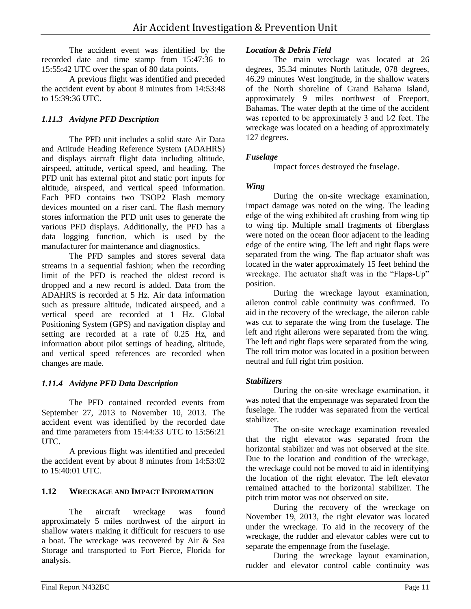The accident event was identified by the recorded date and time stamp from 15:47:36 to 15:55:42 UTC over the span of 80 data points.

A previous flight was identified and preceded the accident event by about 8 minutes from 14:53:48 to 15:39:36 UTC.

# <span id="page-10-0"></span>*1.11.3 Avidyne PFD Description*

The PFD unit includes a solid state Air Data and Attitude Heading Reference System (ADAHRS) and displays aircraft flight data including altitude, airspeed, attitude, vertical speed, and heading. The PFD unit has external pitot and static port inputs for altitude, airspeed, and vertical speed information. Each PFD contains two TSOP2 Flash memory devices mounted on a riser card. The flash memory stores information the PFD unit uses to generate the various PFD displays. Additionally, the PFD has a data logging function, which is used by the manufacturer for maintenance and diagnostics.

The PFD samples and stores several data streams in a sequential fashion; when the recording limit of the PFD is reached the oldest record is dropped and a new record is added. Data from the ADAHRS is recorded at 5 Hz. Air data information such as pressure altitude, indicated airspeed, and a vertical speed are recorded at 1 Hz. Global Positioning System (GPS) and navigation display and setting are recorded at a rate of 0.25 Hz, and information about pilot settings of heading, altitude, and vertical speed references are recorded when changes are made.

#### <span id="page-10-1"></span>*1.11.4 Avidyne PFD Data Description*

The PFD contained recorded events from September 27, 2013 to November 10, 2013. The accident event was identified by the recorded date and time parameters from 15:44:33 UTC to 15:56:21 UTC.

A previous flight was identified and preceded the accident event by about 8 minutes from 14:53:02 to 15:40:01 UTC.

#### <span id="page-10-2"></span>**1.12 WRECKAGE AND IMPACT INFORMATION**

The aircraft wreckage was found approximately 5 miles northwest of the airport in shallow waters making it difficult for rescuers to use a boat. The wreckage was recovered by Air & Sea Storage and transported to Fort Pierce, Florida for analysis.

#### <span id="page-10-3"></span>*Location & Debris Field*

The main wreckage was located at 26 degrees, 35.34 minutes North latitude, 078 degrees, 46.29 minutes West longitude, in the shallow waters of the North shoreline of Grand Bahama Island, approximately 9 miles northwest of Freeport, Bahamas. The water depth at the time of the accident was reported to be approximately 3 and 1⁄2 feet. The wreckage was located on a heading of approximately 127 degrees.

#### *Fuselage*

Impact forces destroyed the fuselage.

#### *Wing*

During the on-site wreckage examination, impact damage was noted on the wing. The leading edge of the wing exhibited aft crushing from wing tip to wing tip. Multiple small fragments of fiberglass were noted on the ocean floor adjacent to the leading edge of the entire wing. The left and right flaps were separated from the wing. The flap actuator shaft was located in the water approximately 15 feet behind the wreckage. The actuator shaft was in the "Flaps-Up" position.

During the wreckage layout examination, aileron control cable continuity was confirmed. To aid in the recovery of the wreckage, the aileron cable was cut to separate the wing from the fuselage. The left and right ailerons were separated from the wing. The left and right flaps were separated from the wing. The roll trim motor was located in a position between neutral and full right trim position.

# *Stabilizers*

During the on-site wreckage examination, it was noted that the empennage was separated from the fuselage. The rudder was separated from the vertical stabilizer.

The on-site wreckage examination revealed that the right elevator was separated from the horizontal stabilizer and was not observed at the site. Due to the location and condition of the wreckage, the wreckage could not be moved to aid in identifying the location of the right elevator. The left elevator remained attached to the horizontal stabilizer. The pitch trim motor was not observed on site.

During the recovery of the wreckage on November 19, 2013, the right elevator was located under the wreckage. To aid in the recovery of the wreckage, the rudder and elevator cables were cut to separate the empennage from the fuselage.

During the wreckage layout examination, rudder and elevator control cable continuity was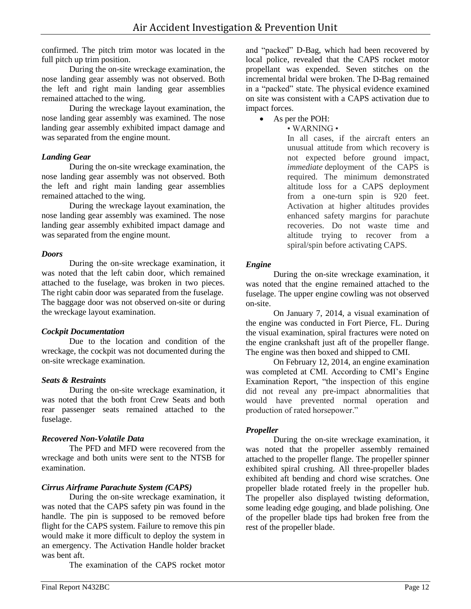confirmed. The pitch trim motor was located in the full pitch up trim position.

During the on-site wreckage examination, the nose landing gear assembly was not observed. Both the left and right main landing gear assemblies remained attached to the wing.

During the wreckage layout examination, the nose landing gear assembly was examined. The nose landing gear assembly exhibited impact damage and was separated from the engine mount.

#### *Landing Gear*

During the on-site wreckage examination, the nose landing gear assembly was not observed. Both the left and right main landing gear assemblies remained attached to the wing.

During the wreckage layout examination, the nose landing gear assembly was examined. The nose landing gear assembly exhibited impact damage and was separated from the engine mount.

#### *Doors*

During the on-site wreckage examination, it was noted that the left cabin door, which remained attached to the fuselage, was broken in two pieces. The right cabin door was separated from the fuselage. The baggage door was not observed on-site or during the wreckage layout examination.

#### *Cockpit Documentation*

Due to the location and condition of the wreckage, the cockpit was not documented during the on-site wreckage examination.

#### *Seats & Restraints*

During the on-site wreckage examination, it was noted that the both front Crew Seats and both rear passenger seats remained attached to the fuselage.

#### *Recovered Non-Volatile Data*

The PFD and MFD were recovered from the wreckage and both units were sent to the NTSB for examination.

#### *Cirrus Airframe Parachute System (CAPS)*

During the on-site wreckage examination, it was noted that the CAPS safety pin was found in the handle. The pin is supposed to be removed before flight for the CAPS system. Failure to remove this pin would make it more difficult to deploy the system in an emergency. The Activation Handle holder bracket was bent aft.

The examination of the CAPS rocket motor

and "packed" D-Bag, which had been recovered by local police, revealed that the CAPS rocket motor propellant was expended. Seven stitches on the incremental bridal were broken. The D-Bag remained in a "packed" state. The physical evidence examined on site was consistent with a CAPS activation due to impact forces.

#### As per the POH:

• WARNING •

In all cases, if the aircraft enters an unusual attitude from which recovery is not expected before ground impact, *immediate* deployment of the CAPS is required. The minimum demonstrated altitude loss for a CAPS deployment from a one-turn spin is 920 feet. Activation at higher altitudes provides enhanced safety margins for parachute recoveries. Do not waste time and altitude trying to recover from a spiral/spin before activating CAPS.

#### *Engine*

During the on-site wreckage examination, it was noted that the engine remained attached to the fuselage. The upper engine cowling was not observed on-site.

On January 7, 2014, a visual examination of the engine was conducted in Fort Pierce, FL. During the visual examination, spiral fractures were noted on the engine crankshaft just aft of the propeller flange. The engine was then boxed and shipped to CMI.

On February 12, 2014, an engine examination was completed at CMI. According to CMI's Engine Examination Report, "the inspection of this engine did not reveal any pre-impact abnormalities that would have prevented normal operation and production of rated horsepower."

#### *Propeller*

During the on-site wreckage examination, it was noted that the propeller assembly remained attached to the propeller flange. The propeller spinner exhibited spiral crushing. All three-propeller blades exhibited aft bending and chord wise scratches. One propeller blade rotated freely in the propeller hub. The propeller also displayed twisting deformation, some leading edge gouging, and blade polishing. One of the propeller blade tips had broken free from the rest of the propeller blade.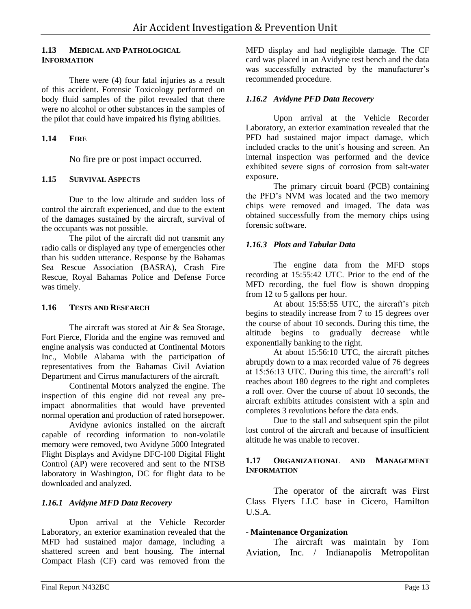#### <span id="page-12-0"></span>**1.13 MEDICAL AND PATHOLOGICAL INFORMATION**

There were (4) four fatal injuries as a result of this accident. Forensic Toxicology performed on body fluid samples of the pilot revealed that there were no alcohol or other substances in the samples of the pilot that could have impaired his flying abilities.

#### <span id="page-12-1"></span>**1.14 FIRE**

No fire pre or post impact occurred.

#### <span id="page-12-2"></span>**1.15 SURVIVAL ASPECTS**

Due to the low altitude and sudden loss of control the aircraft experienced, and due to the extent of the damages sustained by the aircraft, survival of the occupants was not possible.

The pilot of the aircraft did not transmit any radio calls or displayed any type of emergencies other than his sudden utterance. Response by the Bahamas Sea Rescue Association (BASRA), Crash Fire Rescue, Royal Bahamas Police and Defense Force was timely.

#### <span id="page-12-3"></span>**1.16 TESTS AND RESEARCH**

The aircraft was stored at Air & Sea Storage, Fort Pierce, Florida and the engine was removed and engine analysis was conducted at Continental Motors Inc., Mobile Alabama with the participation of representatives from the Bahamas Civil Aviation Department and Cirrus manufacturers of the aircraft.

Continental Motors analyzed the engine. The inspection of this engine did not reveal any preimpact abnormalities that would have prevented normal operation and production of rated horsepower.

Avidyne avionics installed on the aircraft capable of recording information to non-volatile memory were removed, two Avidyne 5000 Integrated Flight Displays and Avidyne DFC-100 Digital Flight Control (AP) were recovered and sent to the NTSB laboratory in Washington, DC for flight data to be downloaded and analyzed.

# <span id="page-12-4"></span>*1.16.1 Avidyne MFD Data Recovery*

Upon arrival at the Vehicle Recorder Laboratory, an exterior examination revealed that the MFD had sustained major damage, including a shattered screen and bent housing. The internal Compact Flash (CF) card was removed from the MFD display and had negligible damage. The CF card was placed in an Avidyne test bench and the data was successfully extracted by the manufacturer's recommended procedure.

#### <span id="page-12-5"></span>*1.16.2 Avidyne PFD Data Recovery*

Upon arrival at the Vehicle Recorder Laboratory, an exterior examination revealed that the PFD had sustained major impact damage, which included cracks to the unit's housing and screen. An internal inspection was performed and the device exhibited severe signs of corrosion from salt-water exposure.

The primary circuit board (PCB) containing the PFD's NVM was located and the two memory chips were removed and imaged. The data was obtained successfully from the memory chips using forensic software.

## <span id="page-12-6"></span>*1.16.3 Plots and Tabular Data*

The engine data from the MFD stops recording at 15:55:42 UTC. Prior to the end of the MFD recording, the fuel flow is shown dropping from 12 to 5 gallons per hour.

At about 15:55:55 UTC, the aircraft's pitch begins to steadily increase from 7 to 15 degrees over the course of about 10 seconds. During this time, the altitude begins to gradually decrease while exponentially banking to the right.

At about 15:56:10 UTC, the aircraft pitches abruptly down to a max recorded value of 76 degrees at 15:56:13 UTC. During this time, the aircraft's roll reaches about 180 degrees to the right and completes a roll over. Over the course of about 10 seconds, the aircraft exhibits attitudes consistent with a spin and completes 3 revolutions before the data ends.

Due to the stall and subsequent spin the pilot lost control of the aircraft and because of insufficient altitude he was unable to recover.

#### <span id="page-12-7"></span>**1.17 ORGANIZATIONAL AND MANAGEMENT INFORMATION**

The operator of the aircraft was First Class Flyers LLC base in Cicero, Hamilton U.S.A.

#### - **Maintenance Organization**

The aircraft was maintain by Tom Aviation, Inc. / Indianapolis Metropolitan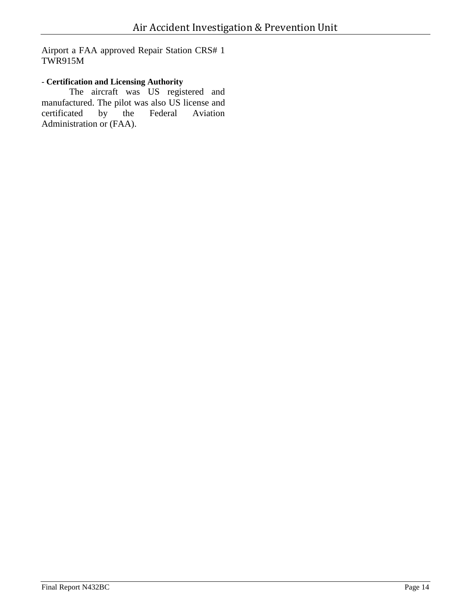Airport a FAA approved Repair Station CRS# 1 TWR915M

## - **Certification and Licensing Authority**

The aircraft was US registered and manufactured. The pilot was also US license and certificated by the Federal Aviation Administration or (FAA).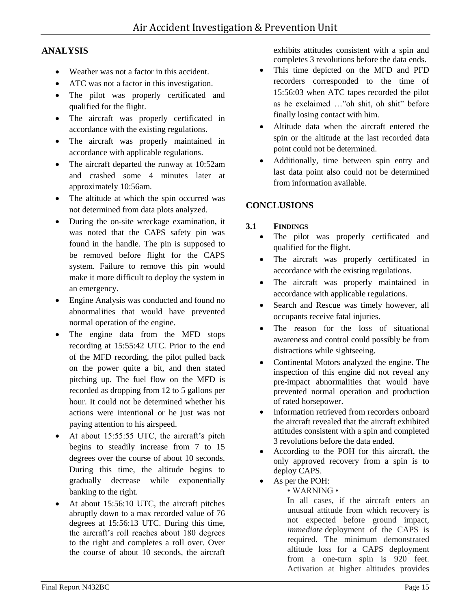# <span id="page-14-0"></span>**ANALYSIS**

- Weather was not a factor in this accident.
- ATC was not a factor in this investigation.
- The pilot was properly certificated and qualified for the flight.
- The aircraft was properly certificated in accordance with the existing regulations.
- The aircraft was properly maintained in accordance with applicable regulations.
- The aircraft departed the runway at 10:52am and crashed some 4 minutes later at approximately 10:56am.
- The altitude at which the spin occurred was not determined from data plots analyzed.
- During the on-site wreckage examination, it was noted that the CAPS safety pin was found in the handle. The pin is supposed to be removed before flight for the CAPS system. Failure to remove this pin would make it more difficult to deploy the system in an emergency.
- Engine Analysis was conducted and found no abnormalities that would have prevented normal operation of the engine.
- The engine data from the MFD stops recording at 15:55:42 UTC. Prior to the end of the MFD recording, the pilot pulled back on the power quite a bit, and then stated pitching up. The fuel flow on the MFD is recorded as dropping from 12 to 5 gallons per hour. It could not be determined whether his actions were intentional or he just was not paying attention to his airspeed.
- At about 15:55:55 UTC, the aircraft's pitch begins to steadily increase from 7 to 15 degrees over the course of about 10 seconds. During this time, the altitude begins to gradually decrease while exponentially banking to the right.
- At about 15:56:10 UTC, the aircraft pitches abruptly down to a max recorded value of 76 degrees at 15:56:13 UTC. During this time, the aircraft's roll reaches about 180 degrees to the right and completes a roll over. Over the course of about 10 seconds, the aircraft

exhibits attitudes consistent with a spin and completes 3 revolutions before the data ends.

- This time depicted on the MFD and PFD recorders corresponded to the time of 15:56:03 when ATC tapes recorded the pilot as he exclaimed …"oh shit, oh shit" before finally losing contact with him.
- Altitude data when the aircraft entered the spin or the altitude at the last recorded data point could not be determined.
- Additionally, time between spin entry and last data point also could not be determined from information available.

# <span id="page-14-1"></span>**CONCLUSIONS**

# <span id="page-14-2"></span>**3.1 FINDINGS**

- The pilot was properly certificated and qualified for the flight.
- The aircraft was properly certificated in accordance with the existing regulations.
- The aircraft was properly maintained in accordance with applicable regulations.
- Search and Rescue was timely however, all occupants receive fatal injuries.
- The reason for the loss of situational awareness and control could possibly be from distractions while sightseeing.
- Continental Motors analyzed the engine. The inspection of this engine did not reveal any pre-impact abnormalities that would have prevented normal operation and production of rated horsepower.
- Information retrieved from recorders onboard the aircraft revealed that the aircraft exhibited attitudes consistent with a spin and completed 3 revolutions before the data ended.
- According to the POH for this aircraft, the only approved recovery from a spin is to deploy CAPS.
- As per the POH:

• WARNING • In all cases, if the aircraft enters an unusual attitude from which recovery is not expected before ground impact, *immediate* deployment of the CAPS is required. The minimum demonstrated altitude loss for a CAPS deployment from a one-turn spin is 920 feet. Activation at higher altitudes provides